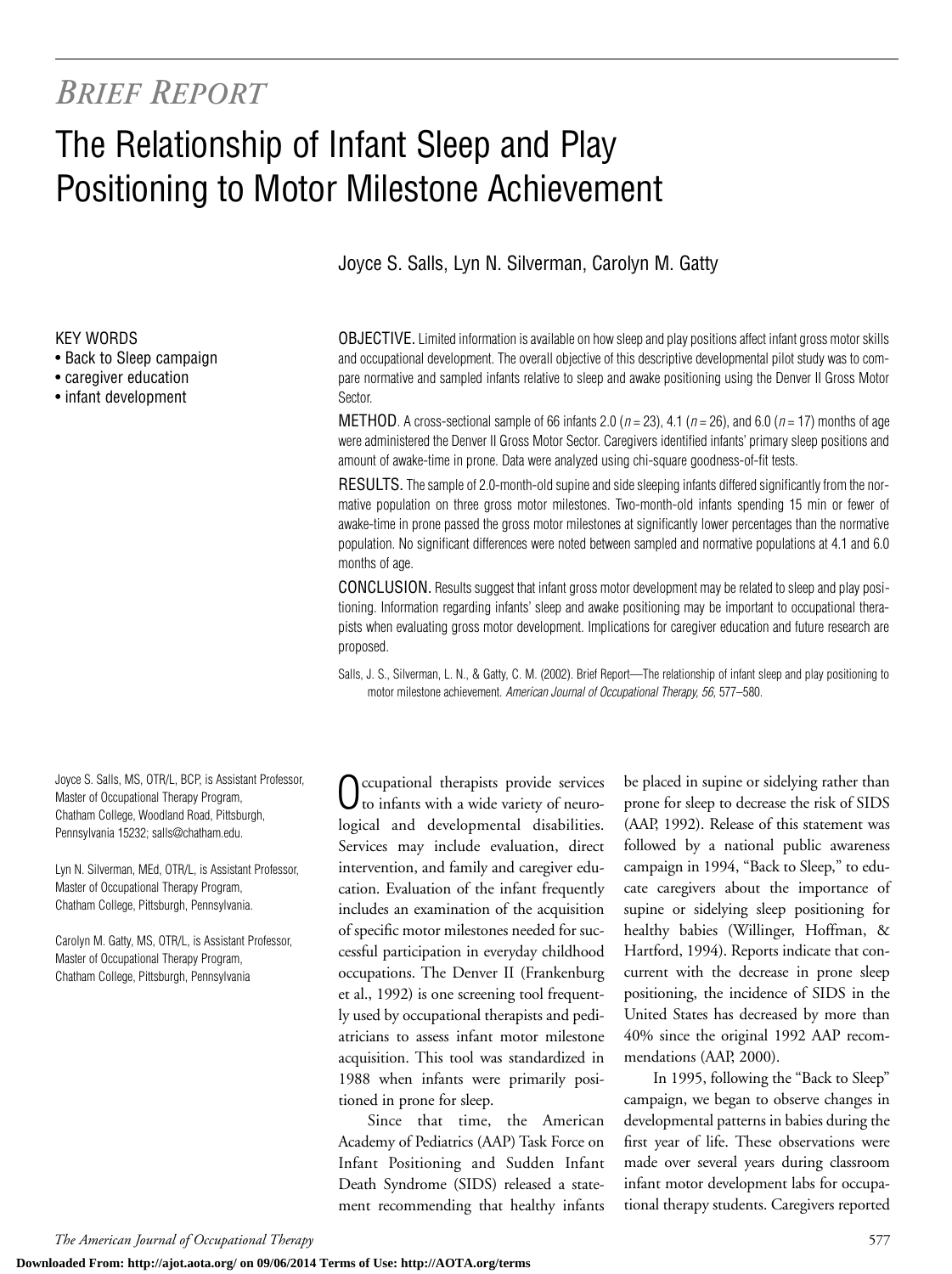## *BRIEF REPORT*

# The Relationship of Infant Sleep and Play Positioning to Motor Milestone Achievement

Joyce S. Salls, Lyn N. Silverman, Carolyn M. Gatty

#### KEY WORDS

- Back to Sleep campaign
- caregiver education
- infant development

Joyce S. Salls, MS, OTR/L, BCP, is Assistant Professor, Master of Occupational Therapy Program, Chatham College, Woodland Road, Pittsburgh, Pennsylvania 15232; salls@chatham.edu.

Lyn N. Silverman, MEd, OTR/L, is Assistant Professor, Master of Occupational Therapy Program, Chatham College, Pittsburgh, Pennsylvania.

Carolyn M. Gatty, MS, OTR/L, is Assistant Professor, Master of Occupational Therapy Program, Chatham College, Pittsburgh, Pennsylvania

OBJECTIVE. Limited information is available on how sleep and play positions affect infant gross motor skills and occupational development. The overall objective of this descriptive developmental pilot study was to compare normative and sampled infants relative to sleep and awake positioning using the Denver II Gross Motor Sector.

METHOD. A cross-sectional sample of 66 infants 2.0 (*n* = 23), 4.1 (*n* = 26), and 6.0 (*n* = 17) months of age were administered the Denver II Gross Motor Sector. Caregivers identified infants' primary sleep positions and amount of awake-time in prone. Data were analyzed using chi-square goodness-of-fit tests.

RESULTS. The sample of 2.0-month-old supine and side sleeping infants differed significantly from the normative population on three gross motor milestones. Two-month-old infants spending 15 min or fewer of awake-time in prone passed the gross motor milestones at significantly lower percentages than the normative population. No significant differences were noted between sampled and normative populations at 4.1 and 6.0 months of age.

CONCLUSION. Results suggest that infant gross motor development may be related to sleep and play positioning. Information regarding infants' sleep and awake positioning may be important to occupational therapists when evaluating gross motor development. Implications for caregiver education and future research are proposed.

Salls, J. S., Silverman, L. N., & Gatty, C. M. (2002). Brief Report—The relationship of infant sleep and play positioning to motor milestone achievement. *American Journal of Occupational Therapy, 56,* 577–580.

ccupational therapists provide services to infants with a wide variety of neurological and developmental disabilities. Services may include evaluation, direct intervention, and family and caregiver education. Evaluation of the infant frequently includes an examination of the acquisition of specific motor milestones needed for successful participation in everyday childhood occupations. The Denver II (Frankenburg et al., 1992) is one screening tool frequently used by occupational therapists and pediatricians to assess infant motor milestone acquisition. This tool was standardized in 1988 when infants were primarily positioned in prone for sleep.

Since that time, the American Academy of Pediatrics (AAP) Task Force on Infant Positioning and Sudden Infant Death Syndrome (SIDS) released a statement recommending that healthy infants be placed in supine or sidelying rather than prone for sleep to decrease the risk of SIDS (AAP, 1992). Release of this statement was followed by a national public awareness campaign in 1994, "Back to Sleep," to educate caregivers about the importance of supine or sidelying sleep positioning for healthy babies (Willinger, Hoffman, & Hartford, 1994). Reports indicate that concurrent with the decrease in prone sleep positioning, the incidence of SIDS in the United States has decreased by more than 40% since the original 1992 AAP recommendations (AAP, 2000).

In 1995, following the "Back to Sleep" campaign, we began to observe changes in developmental patterns in babies during the first year of life. These observations were made over several years during classroom infant motor development labs for occupational therapy students. Caregivers reported

#### *The American Journal of Occupational Therapy* 577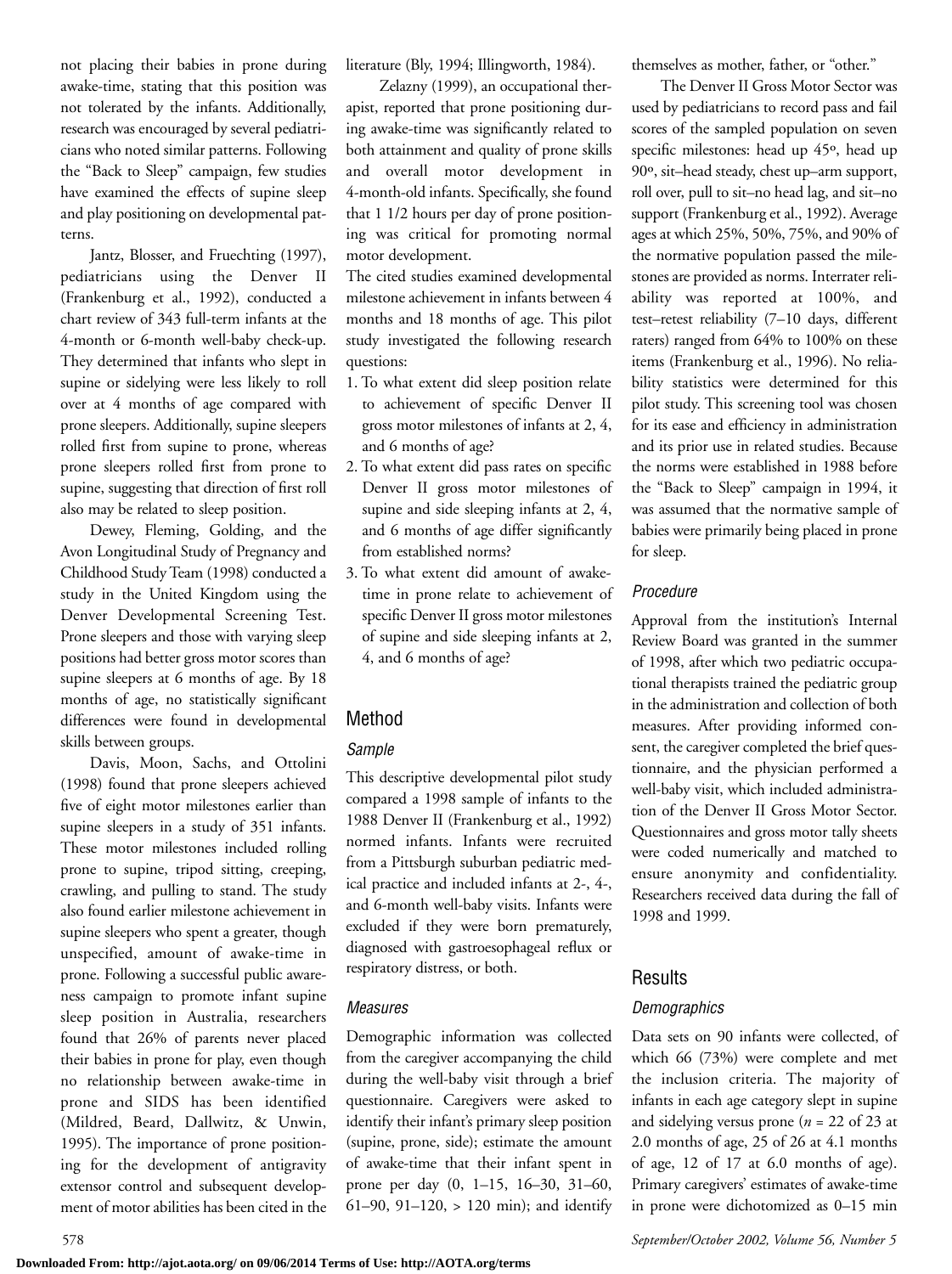not placing their babies in prone during awake-time, stating that this position was not tolerated by the infants. Additionally, research was encouraged by several pediatricians who noted similar patterns. Following the "Back to Sleep" campaign, few studies have examined the effects of supine sleep and play positioning on developmental patterns.

Jantz, Blosser, and Fruechting (1997), pediatricians using the Denver II (Frankenburg et al., 1992), conducted a chart review of 343 full-term infants at the 4-month or 6-month well-baby check-up. They determined that infants who slept in supine or sidelying were less likely to roll over at 4 months of age compared with prone sleepers. Additionally, supine sleepers rolled first from supine to prone, whereas prone sleepers rolled first from prone to supine, suggesting that direction of first roll also may be related to sleep position.

Dewey, Fleming, Golding, and the Avon Longitudinal Study of Pregnancy and Childhood Study Team (1998) conducted a study in the United Kingdom using the Denver Developmental Screening Test. Prone sleepers and those with varying sleep positions had better gross motor scores than supine sleepers at 6 months of age. By 18 months of age, no statistically significant differences were found in developmental skills between groups.

Davis, Moon, Sachs, and Ottolini (1998) found that prone sleepers achieved five of eight motor milestones earlier than supine sleepers in a study of 351 infants. These motor milestones included rolling prone to supine, tripod sitting, creeping, crawling, and pulling to stand. The study also found earlier milestone achievement in supine sleepers who spent a greater, though unspecified, amount of awake-time in prone. Following a successful public awareness campaign to promote infant supine sleep position in Australia, researchers found that 26% of parents never placed their babies in prone for play, even though no relationship between awake-time in prone and SIDS has been identified (Mildred, Beard, Dallwitz, & Unwin, 1995). The importance of prone positioning for the development of antigravity extensor control and subsequent development of motor abilities has been cited in the literature (Bly, 1994; Illingworth, 1984).

Zelazny (1999), an occupational therapist, reported that prone positioning during awake-time was significantly related to both attainment and quality of prone skills and overall motor development in 4-month-old infants. Specifically, she found that 1 1/2 hours per day of prone positioning was critical for promoting normal motor development.

The cited studies examined developmental milestone achievement in infants between 4 months and 18 months of age. This pilot study investigated the following research questions:

- 1. To what extent did sleep position relate to achievement of specific Denver II gross motor milestones of infants at 2, 4, and 6 months of age?
- 2. To what extent did pass rates on specific Denver II gross motor milestones of supine and side sleeping infants at 2, 4, and 6 months of age differ significantly from established norms?
- 3. To what extent did amount of awaketime in prone relate to achievement of specific Denver II gross motor milestones of supine and side sleeping infants at 2, 4, and 6 months of age?

## Method

#### *Sample*

This descriptive developmental pilot study compared a 1998 sample of infants to the 1988 Denver II (Frankenburg et al., 1992) normed infants. Infants were recruited from a Pittsburgh suburban pediatric medical practice and included infants at 2-, 4-, and 6-month well-baby visits. Infants were excluded if they were born prematurely, diagnosed with gastroesophageal reflux or respiratory distress, or both.

#### *Measures*

Demographic information was collected from the caregiver accompanying the child during the well-baby visit through a brief questionnaire. Caregivers were asked to identify their infant's primary sleep position (supine, prone, side); estimate the amount of awake-time that their infant spent in prone per day (0, 1–15, 16–30, 31–60, 61–90, 91–120, > 120 min); and identify themselves as mother, father, or "other."

The Denver II Gross Motor Sector was used by pediatricians to record pass and fail scores of the sampled population on seven specific milestones: head up 45º, head up 90º, sit–head steady, chest up–arm support, roll over, pull to sit–no head lag, and sit–no support (Frankenburg et al., 1992). Average ages at which 25%, 50%, 75%, and 90% of the normative population passed the milestones are provided as norms. Interrater reliability was reported at 100%, and test–retest reliability (7–10 days, different raters) ranged from 64% to 100% on these items (Frankenburg et al., 1996). No reliability statistics were determined for this pilot study. This screening tool was chosen for its ease and efficiency in administration and its prior use in related studies. Because the norms were established in 1988 before the "Back to Sleep" campaign in 1994, it was assumed that the normative sample of babies were primarily being placed in prone for sleep.

## *Procedure*

Approval from the institution's Internal Review Board was granted in the summer of 1998, after which two pediatric occupational therapists trained the pediatric group in the administration and collection of both measures. After providing informed consent, the caregiver completed the brief questionnaire, and the physician performed a well-baby visit, which included administration of the Denver II Gross Motor Sector. Questionnaires and gross motor tally sheets were coded numerically and matched to ensure anonymity and confidentiality. Researchers received data during the fall of 1998 and 1999.

## Results

## *Demographics*

Data sets on 90 infants were collected, of which 66 (73%) were complete and met the inclusion criteria. The majority of infants in each age category slept in supine and sidelying versus prone (*n* = 22 of 23 at 2.0 months of age, 25 of 26 at 4.1 months of age, 12 of 17 at 6.0 months of age). Primary caregivers' estimates of awake-time in prone were dichotomized as 0–15 min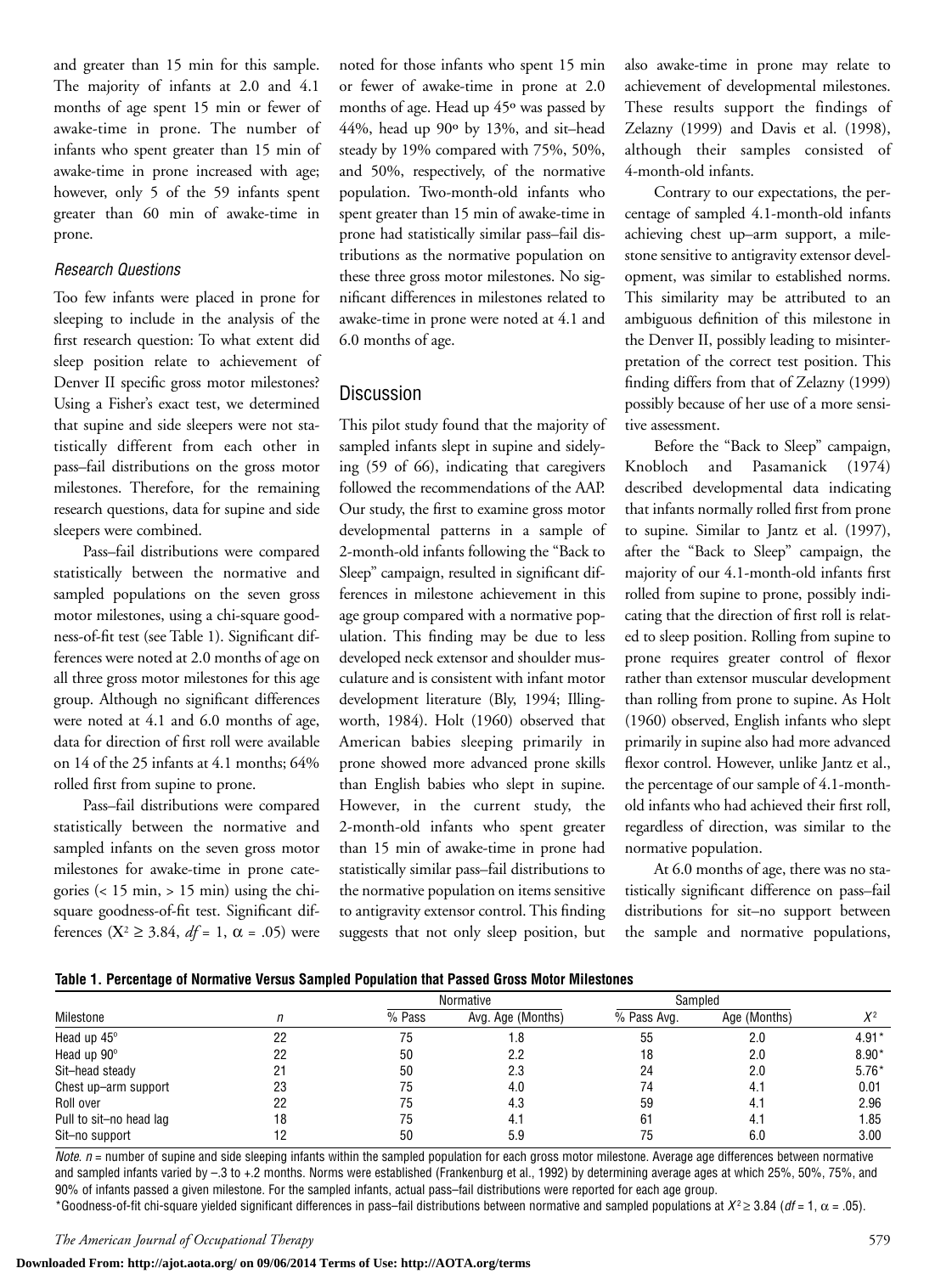and greater than 15 min for this sample. The majority of infants at 2.0 and 4.1 months of age spent 15 min or fewer of awake-time in prone. The number of infants who spent greater than 15 min of awake-time in prone increased with age; however, only 5 of the 59 infants spent greater than 60 min of awake-time in prone.

#### *Research Questions*

Too few infants were placed in prone for sleeping to include in the analysis of the first research question: To what extent did sleep position relate to achievement of Denver II specific gross motor milestones? Using a Fisher's exact test, we determined that supine and side sleepers were not statistically different from each other in pass–fail distributions on the gross motor milestones. Therefore, for the remaining research questions, data for supine and side sleepers were combined.

Pass–fail distributions were compared statistically between the normative and sampled populations on the seven gross motor milestones, using a chi-square goodness-of-fit test (see Table 1). Significant differences were noted at 2.0 months of age on all three gross motor milestones for this age group. Although no significant differences were noted at 4.1 and 6.0 months of age, data for direction of first roll were available on 14 of the 25 infants at 4.1 months; 64% rolled first from supine to prone.

Pass–fail distributions were compared statistically between the normative and sampled infants on the seven gross motor milestones for awake-time in prone categories (< 15 min, > 15 min) using the chisquare goodness-of-fit test. Significant differences ( $X^2$  ≥ 3.84, *df* = 1, α = .05) were noted for those infants who spent 15 min or fewer of awake-time in prone at 2.0 months of age. Head up 45º was passed by 44%, head up 90º by 13%, and sit–head steady by 19% compared with 75%, 50%, and 50%, respectively, of the normative population. Two-month-old infants who spent greater than 15 min of awake-time in prone had statistically similar pass–fail distributions as the normative population on these three gross motor milestones. No significant differences in milestones related to awake-time in prone were noted at 4.1 and 6.0 months of age.

#### Discussion

This pilot study found that the majority of sampled infants slept in supine and sidelying (59 of 66), indicating that caregivers followed the recommendations of the AAP. Our study, the first to examine gross motor developmental patterns in a sample of 2-month-old infants following the "Back to Sleep" campaign, resulted in significant differences in milestone achievement in this age group compared with a normative population. This finding may be due to less developed neck extensor and shoulder musculature and is consistent with infant motor development literature (Bly, 1994; Illingworth, 1984). Holt (1960) observed that American babies sleeping primarily in prone showed more advanced prone skills than English babies who slept in supine. However, in the current study, the 2-month-old infants who spent greater than 15 min of awake-time in prone had statistically similar pass–fail distributions to the normative population on items sensitive to antigravity extensor control. This finding suggests that not only sleep position, but

also awake-time in prone may relate to achievement of developmental milestones. These results support the findings of Zelazny (1999) and Davis et al. (1998), although their samples consisted of 4-month-old infants.

Contrary to our expectations, the percentage of sampled 4.1-month-old infants achieving chest up–arm support, a milestone sensitive to antigravity extensor development, was similar to established norms. This similarity may be attributed to an ambiguous definition of this milestone in the Denver II, possibly leading to misinterpretation of the correct test position. This finding differs from that of Zelazny (1999) possibly because of her use of a more sensitive assessment.

Before the "Back to Sleep" campaign, Knobloch and Pasamanick (1974) described developmental data indicating that infants normally rolled first from prone to supine. Similar to Jantz et al. (1997), after the "Back to Sleep" campaign, the majority of our 4.1-month-old infants first rolled from supine to prone, possibly indicating that the direction of first roll is related to sleep position. Rolling from supine to prone requires greater control of flexor rather than extensor muscular development than rolling from prone to supine. As Holt (1960) observed, English infants who slept primarily in supine also had more advanced flexor control. However, unlike Jantz et al., the percentage of our sample of 4.1-monthold infants who had achieved their first roll, regardless of direction, was similar to the normative population.

At 6.0 months of age, there was no statistically significant difference on pass–fail distributions for sit–no support between the sample and normative populations,

|  |  |  | Table 1. Percentage of Normative Versus Sampled Population that Passed Gross Motor Milestones |
|--|--|--|-----------------------------------------------------------------------------------------------|
|  |  |  |                                                                                               |

|                         |    | Normative |                   | Sampled     |              |         |
|-------------------------|----|-----------|-------------------|-------------|--------------|---------|
| Milestone               | П  | % Pass    | Avg. Age (Months) | % Pass Avg. | Age (Months) | $X^2$   |
| Head up 45°             | 22 | 75        | 1.8               | 55          | 2.0          | $4.91*$ |
| Head up 90°             | 22 | 50        | 2.2               | 18          | 2.0          | $8.90*$ |
| Sit-head steady         | 21 | 50        | 2.3               | 24          | 2.0          | $5.76*$ |
| Chest up-arm support    | 23 | 75        | 4.0               | 74          | 4.1          | 0.01    |
| Roll over               | 22 | 75        | 4.3               | 59          | 4.1          | 2.96    |
| Pull to sit-no head lag | 18 | 75        | 4.1               | 61          | 4.1          | 1.85    |
| Sit-no support          | 12 | 50        | 5.9               | 75          | 6.0          | 3.00    |

*Note.*  $n =$  number of supine and side sleeping infants within the sampled population for each gross motor milestone. Average age differences between normative and sampled infants varied by –.3 to +.2 months. Norms were established (Frankenburg et al., 1992) by determining average ages at which 25%, 50%, 75%, and 90% of infants passed a given milestone. For the sampled infants, actual pass–fail distributions were reported for each age group.

\*Goodness-of-fit chi-square yielded significant differences in pass–fail distributions between normative and sampled populations at  $X^2 \ge 3.84$  (*df* = 1,  $\alpha$  = .05).

**Downloaded From: http://ajot.aota.org/ on 09/06/2014 Terms of Use: http://AOTA.org/terms**